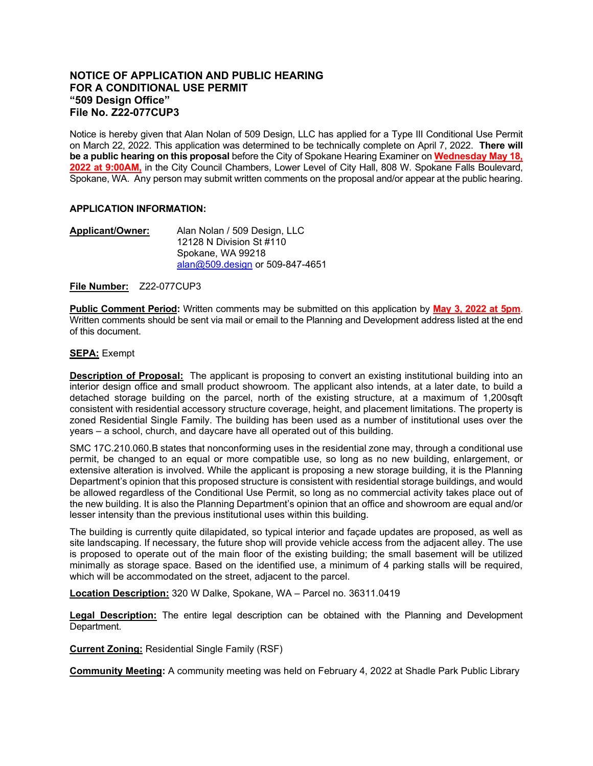## **NOTICE OF APPLICATION AND PUBLIC HEARING FOR A CONDITIONAL USE PERMIT "509 Design Office" File No. Z22-077CUP3**

Notice is hereby given that Alan Nolan of 509 Design, LLC has applied for a Type III Conditional Use Permit on March 22, 2022. This application was determined to be technically complete on April 7, 2022. **There will be a public hearing on this proposal** before the City of Spokane Hearing Examiner on **Wednesday May 18, 2022 at 9:00AM,** in the City Council Chambers, Lower Level of City Hall, 808 W. Spokane Falls Boulevard, Spokane, WA. Any person may submit written comments on the proposal and/or appear at the public hearing.

## **APPLICATION INFORMATION:**

**Applicant/Owner:** Alan Nolan / 509 Design, LLC 12128 N Division St #110 Spokane, WA 99218 [alan@509.design](mailto:alan@509.design) or 509-847-4651

**File Number:** Z22-077CUP3

**Public Comment Period:** Written comments may be submitted on this application by **May 3, 2022 at 5pm**. Written comments should be sent via mail or email to the Planning and Development address listed at the end of this document.

## **SEPA:** Exempt

**Description of Proposal:** The applicant is proposing to convert an existing institutional building into an interior design office and small product showroom. The applicant also intends, at a later date, to build a detached storage building on the parcel, north of the existing structure, at a maximum of 1,200sqft consistent with residential accessory structure coverage, height, and placement limitations. The property is zoned Residential Single Family. The building has been used as a number of institutional uses over the years – a school, church, and daycare have all operated out of this building.

SMC 17C.210.060.B states that nonconforming uses in the residential zone may, through a conditional use permit, be changed to an equal or more compatible use, so long as no new building, enlargement, or extensive alteration is involved. While the applicant is proposing a new storage building, it is the Planning Department's opinion that this proposed structure is consistent with residential storage buildings, and would be allowed regardless of the Conditional Use Permit, so long as no commercial activity takes place out of the new building. It is also the Planning Department's opinion that an office and showroom are equal and/or lesser intensity than the previous institutional uses within this building.

The building is currently quite dilapidated, so typical interior and façade updates are proposed, as well as site landscaping. If necessary, the future shop will provide vehicle access from the adjacent alley. The use is proposed to operate out of the main floor of the existing building; the small basement will be utilized minimally as storage space. Based on the identified use, a minimum of 4 parking stalls will be required, which will be accommodated on the street, adjacent to the parcel.

**Location Description:** 320 W Dalke, Spokane, WA – Parcel no. 36311.0419

**Legal Description:** The entire legal description can be obtained with the Planning and Development Department.

**Current Zoning:** Residential Single Family (RSF)

**Community Meeting:** A community meeting was held on February 4, 2022 at Shadle Park Public Library